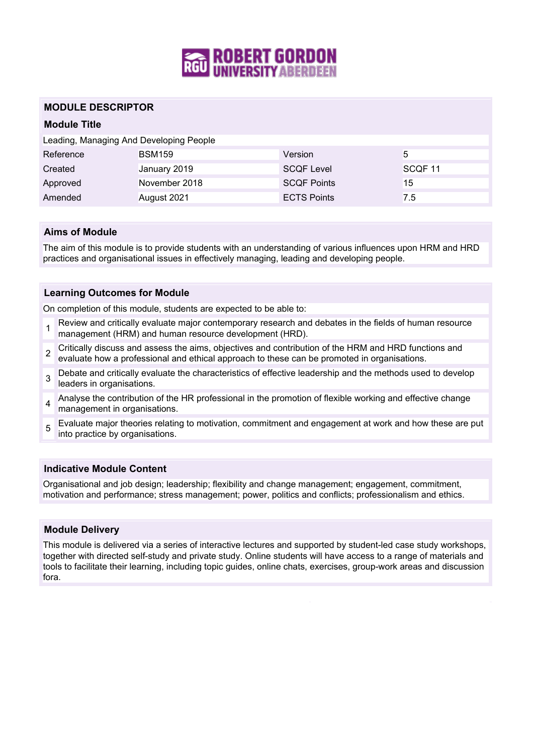

## **MODULE DESCRIPTOR**

# **Module Title**

| Leading, Managing And Developing People |               |                    |                    |
|-----------------------------------------|---------------|--------------------|--------------------|
| Reference                               | <b>BSM159</b> | Version            | 5                  |
| Created                                 | January 2019  | <b>SCQF Level</b>  | SCOF <sub>11</sub> |
| Approved                                | November 2018 | <b>SCOF Points</b> | 15                 |
| Amended                                 | August 2021   | <b>ECTS Points</b> | 7.5                |

## **Aims of Module**

The aim of this module is to provide students with an understanding of various influences upon HRM and HRD practices and organisational issues in effectively managing, leading and developing people.

#### **Learning Outcomes for Module**

On completion of this module, students are expected to be able to:

- 1 Review and critically evaluate major contemporary research and debates in the fields of human resource management (HRM) and human resource development (HRD).
- $\mathfrak{p}$ Critically discuss and assess the aims, objectives and contribution of the HRM and HRD functions and evaluate how a professional and ethical approach to these can be promoted in organisations.
- 3 Debate and critically evaluate the characteristics of effective leadership and the methods used to develop leaders in organisations.
- 4 Analyse the contribution of the HR professional in the promotion of flexible working and effective change management in organisations.
- 5 Evaluate major theories relating to motivation, commitment and engagement at work and how these are put into practice by organisations.

# **Indicative Module Content**

Organisational and job design; leadership; flexibility and change management; engagement, commitment, motivation and performance; stress management; power, politics and conflicts; professionalism and ethics.

#### **Module Delivery**

This module is delivered via a series of interactive lectures and supported by student-led case study workshops, together with directed self-study and private study. Online students will have access to a range of materials and tools to facilitate their learning, including topic guides, online chats, exercises, group-work areas and discussion fora.